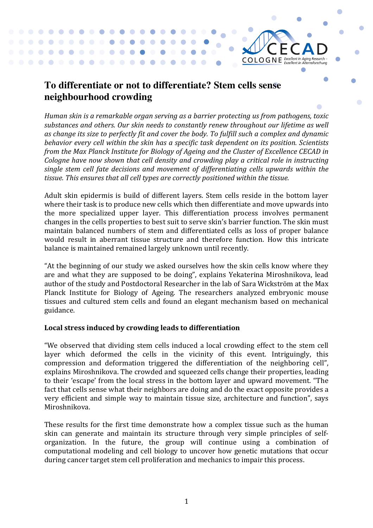## **To differentiate or not to differentiate? Stem cells sense neighbourhood crowding**

 $\begin{array}{ccccccccccccccccc} \bullet & \bullet & \bullet & \bullet & \bullet & \bullet \end{array}$ 

 $\blacksquare$ **CONTRACTOR** 

 $\bullet$  $\bullet$ 

> $\bullet$  $\bullet$  $\bullet$  $\bullet$

 $\blacksquare$ 

*Human skin is a remarkable organ serving as a barrier protecting us from pathogens, toxic* substances and others. Our skin needs to constantly renew throughout our lifetime as well as change its size to perfectly fit and cover the body. To fulfill such a complex and dynamic behavior every cell within the skin has a specific task dependent on its position. Scientists *from the Max Planck Institute for Biology of Ageing and the Cluster of Excellence CECAD in Cologne have now shown that cell density and crowding play a critical role in instructing* single stem cell fate decisions and movement of differentiating cells upwards within the tissue. This ensures that all cell types are correctly positioned within the tissue.

 $CO$  LO G N E *Excellent in Aging Research* -

Adult skin epidermis is build of different layers. Stem cells reside in the bottom layer where their task is to produce new cells which then differentiate and move upwards into the more specialized upper layer. This differentiation process involves permanent changes in the cells properties to best suit to serve skin's barrier function. The skin must maintain balanced numbers of stem and differentiated cells as loss of proper balance would result in aberrant tissue structure and therefore function. How this intricate balance is maintained remained largely unknown until recently.

"At the beginning of our study we asked ourselves how the skin cells know where they are and what they are supposed to be doing", explains Yekaterina Miroshnikova, lead author of the study and Postdoctoral Researcher in the lab of Sara Wickström at the Max Planck Institute for Biology of Ageing. The researchers analyzed embryonic mouse tissues and cultured stem cells and found an elegant mechanism based on mechanical guidance.

## Local stress induced by crowding leads to differentiation

"We observed that dividing stem cells induced a local crowding effect to the stem cell layer which deformed the cells in the vicinity of this event. Intriguingly, this compression and deformation triggered the differentiation of the neighboring cell", explains Miroshnikova. The crowded and squeezed cells change their properties, leading to their 'escape' from the local stress in the bottom layer and upward movement. "The fact that cells sense what their neighbors are doing and do the exact opposite provides a very efficient and simple way to maintain tissue size, architecture and function", says Miroshnikova.

These results for the first time demonstrate how a complex tissue such as the human skin can generate and maintain its structure through very simple principles of selforganization. In the future, the group will continue using a combination of computational modeling and cell biology to uncover how genetic mutations that occur during cancer target stem cell proliferation and mechanics to impair this process.